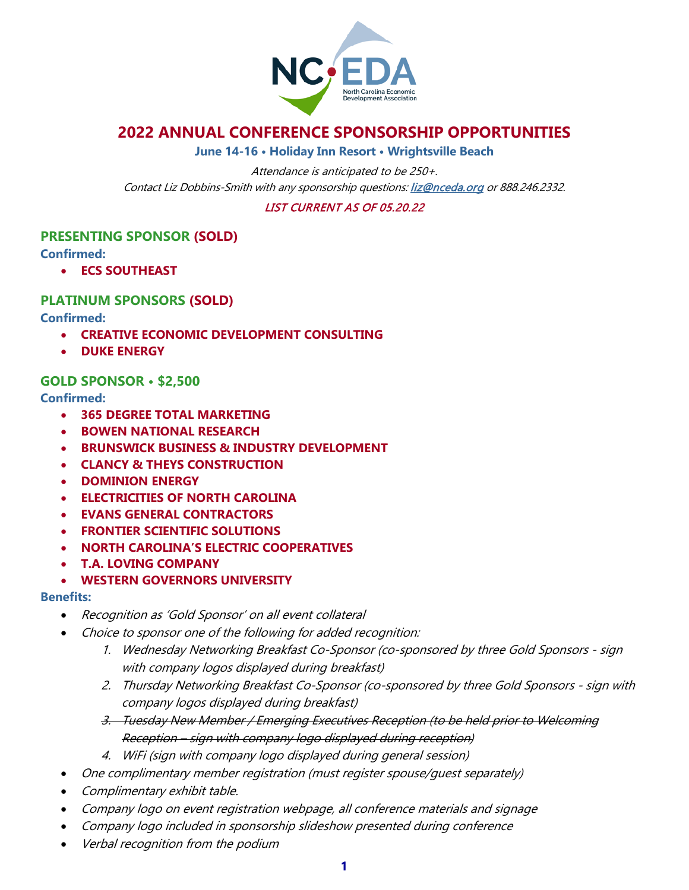

# **2022 ANNUAL CONFERENCE SPONSORSHIP OPPORTUNITIES**

**June 14-16 • Holiday Inn Resort • Wrightsville Beach**

Attendance is anticipated to be 250+. Contact Liz Dobbins-Smith with any sponsorship questions[: liz@nceda.org](mailto:liz@nceda.org) or 888.246.2332.

LIST CURRENT AS OF 05.20.22

# **PRESENTING SPONSOR (SOLD)**

**Confirmed:**

• **ECS SOUTHEAST**

# **PLATINUM SPONSORS (SOLD)**

**Confirmed:**

- **CREATIVE ECONOMIC DEVELOPMENT CONSULTING**
- **DUKE ENERGY**

## **GOLD SPONSOR • \$2,500**

**Confirmed:**

- **365 DEGREE TOTAL MARKETING**
- **BOWEN NATIONAL RESEARCH**
- **BRUNSWICK BUSINESS & INDUSTRY DEVELOPMENT**
- **CLANCY & THEYS CONSTRUCTION**
- **DOMINION ENERGY**
- **ELECTRICITIES OF NORTH CAROLINA**
- **EVANS GENERAL CONTRACTORS**
- **FRONTIER SCIENTIFIC SOLUTIONS**
- **NORTH CAROLINA'S ELECTRIC COOPERATIVES**
- **T.A. LOVING COMPANY**
- **WESTERN GOVERNORS UNIVERSITY**

### **Benefits:**

- Recognition as 'Gold Sponsor' on all event collateral
- Choice to sponsor one of the following for added recognition:
	- 1. Wednesday Networking Breakfast Co-Sponsor (co-sponsored by three Gold Sponsors sign with company logos displayed during breakfast)
	- 2. Thursday Networking Breakfast Co-Sponsor (co-sponsored by three Gold Sponsors sign with company logos displayed during breakfast)
	- 3. Tuesday New Member / Emerging Executives Reception (to be held prior to Welcoming Reception – sign with company logo displayed during reception)
	- 4. WiFi (sign with company logo displayed during general session)
- One complimentary member registration (must register spouse/guest separately)
- Complimentary exhibit table.
- Company logo on event registration webpage, all conference materials and signage
- Company logo included in sponsorship slideshow presented during conference
- Verbal recognition from the podium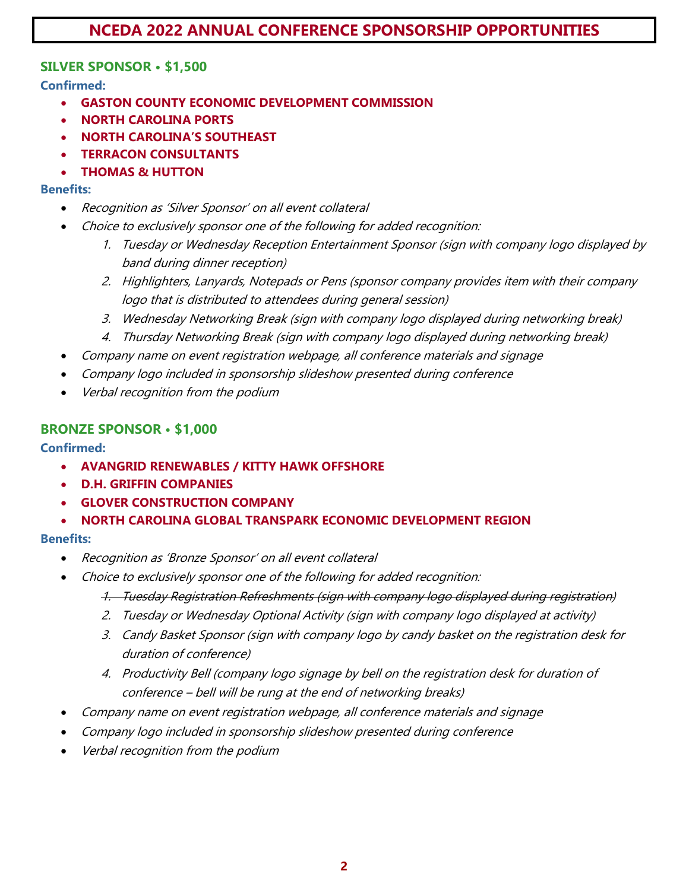# **NCEDA 2022 ANNUAL CONFERENCE SPONSORSHIP OPPORTUNITIES**

# **SILVER SPONSOR • \$1,500**

**Confirmed:**

- **GASTON COUNTY ECONOMIC DEVELOPMENT COMMISSION**
- **NORTH CAROLINA PORTS**
- **NORTH CAROLINA'S SOUTHEAST**
- **TERRACON CONSULTANTS**
- **THOMAS & HUTTON**

### **Benefits:**

- Recognition as 'Silver Sponsor' on all event collateral
- Choice to exclusively sponsor one of the following for added recognition:
	- 1. Tuesday or Wednesday Reception Entertainment Sponsor (sign with company logo displayed by band during dinner reception)
	- 2. Highlighters, Lanyards, Notepads or Pens (sponsor company provides item with their company logo that is distributed to attendees during general session)
	- 3. Wednesday Networking Break (sign with company logo displayed during networking break)
	- 4. Thursday Networking Break (sign with company logo displayed during networking break)
- Company name on event registration webpage, all conference materials and signage
- Company logo included in sponsorship slideshow presented during conference
- Verbal recognition from the podium

## **BRONZE SPONSOR • \$1,000**

### **Confirmed:**

- **AVANGRID RENEWABLES / KITTY HAWK OFFSHORE**
- **D.H. GRIFFIN COMPANIES**
- **GLOVER CONSTRUCTION COMPANY**
- **NORTH CAROLINA GLOBAL TRANSPARK ECONOMIC DEVELOPMENT REGION**

### **Benefits:**

- Recognition as 'Bronze Sponsor' on all event collateral
- Choice to exclusively sponsor one of the following for added recognition:
	- 1. Tuesday Registration Refreshments (sign with company logo displayed during registration)
	- 2. Tuesday or Wednesday Optional Activity (sign with company logo displayed at activity)
	- 3. Candy Basket Sponsor (sign with company logo by candy basket on the registration desk for duration of conference)
	- 4. Productivity Bell (company logo signage by bell on the registration desk for duration of conference – bell will be rung at the end of networking breaks)
- Company name on event registration webpage, all conference materials and signage
- Company logo included in sponsorship slideshow presented during conference
- Verbal recognition from the podium